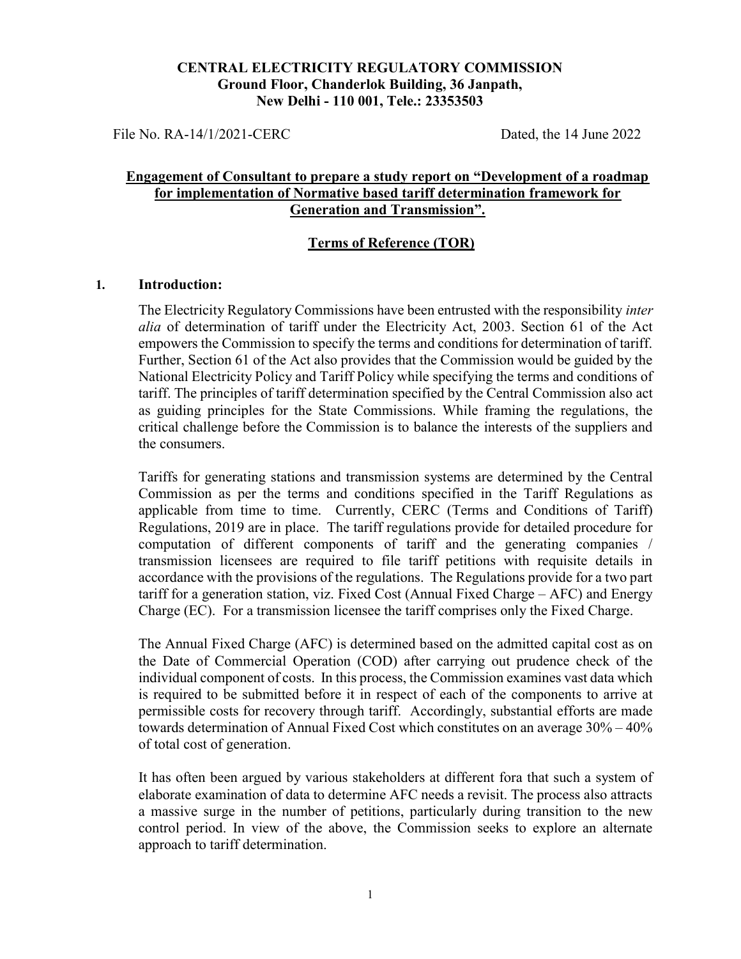#### CENTRAL ELECTRICITY REGULATORY COMMISSION Ground Floor, Chanderlok Building, 36 Janpath, New Delhi - 110 001, Tele.: 23353503

File No. RA-14/1/2021-CERC Dated, the 14 June 2022

## Engagement of Consultant to prepare a study report on "Development of a roadmap for implementation of Normative based tariff determination framework for Generation and Transmission".

#### Terms of Reference (TOR)

#### 1. Introduction:

The Electricity Regulatory Commissions have been entrusted with the responsibility *inter* alia of determination of tariff under the Electricity Act, 2003. Section 61 of the Act empowers the Commission to specify the terms and conditions for determination of tariff. Further, Section 61 of the Act also provides that the Commission would be guided by the National Electricity Policy and Tariff Policy while specifying the terms and conditions of tariff. The principles of tariff determination specified by the Central Commission also act as guiding principles for the State Commissions. While framing the regulations, the critical challenge before the Commission is to balance the interests of the suppliers and the consumers.

Tariffs for generating stations and transmission systems are determined by the Central Commission as per the terms and conditions specified in the Tariff Regulations as applicable from time to time. Currently, CERC (Terms and Conditions of Tariff) Regulations, 2019 are in place. The tariff regulations provide for detailed procedure for computation of different components of tariff and the generating companies / transmission licensees are required to file tariff petitions with requisite details in accordance with the provisions of the regulations. The Regulations provide for a two part tariff for a generation station, viz. Fixed Cost (Annual Fixed Charge – AFC) and Energy Charge (EC). For a transmission licensee the tariff comprises only the Fixed Charge.

The Annual Fixed Charge (AFC) is determined based on the admitted capital cost as on the Date of Commercial Operation (COD) after carrying out prudence check of the individual component of costs. In this process, the Commission examines vast data which is required to be submitted before it in respect of each of the components to arrive at permissible costs for recovery through tariff. Accordingly, substantial efforts are made towards determination of Annual Fixed Cost which constitutes on an average 30% – 40% of total cost of generation.

It has often been argued by various stakeholders at different fora that such a system of elaborate examination of data to determine AFC needs a revisit. The process also attracts a massive surge in the number of petitions, particularly during transition to the new control period. In view of the above, the Commission seeks to explore an alternate approach to tariff determination.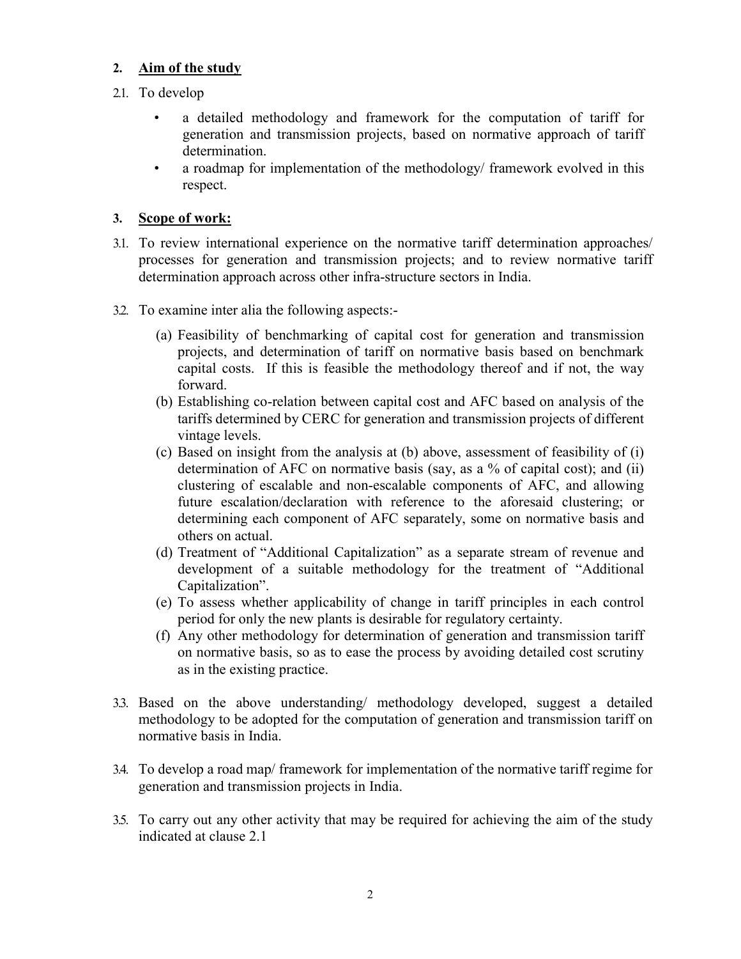## 2. Aim of the study

- 2.1. To develop
	- a detailed methodology and framework for the computation of tariff for generation and transmission projects, based on normative approach of tariff determination.
	- a roadmap for implementation of the methodology/ framework evolved in this respect.

## 3. Scope of work:

- 3.1. To review international experience on the normative tariff determination approaches/ processes for generation and transmission projects; and to review normative tariff determination approach across other infra-structure sectors in India.
- 3.2. To examine inter alia the following aspects:-
	- (a) Feasibility of benchmarking of capital cost for generation and transmission projects, and determination of tariff on normative basis based on benchmark capital costs. If this is feasible the methodology thereof and if not, the way forward.
	- (b) Establishing co-relation between capital cost and AFC based on analysis of the tariffs determined by CERC for generation and transmission projects of different vintage levels.
	- (c) Based on insight from the analysis at (b) above, assessment of feasibility of (i) determination of AFC on normative basis (say, as a % of capital cost); and (ii) clustering of escalable and non-escalable components of AFC, and allowing future escalation/declaration with reference to the aforesaid clustering; or determining each component of AFC separately, some on normative basis and others on actual.
	- (d) Treatment of "Additional Capitalization" as a separate stream of revenue and development of a suitable methodology for the treatment of "Additional Capitalization".
	- (e) To assess whether applicability of change in tariff principles in each control period for only the new plants is desirable for regulatory certainty.
	- (f) Any other methodology for determination of generation and transmission tariff on normative basis, so as to ease the process by avoiding detailed cost scrutiny as in the existing practice.
- 3.3. Based on the above understanding/ methodology developed, suggest a detailed methodology to be adopted for the computation of generation and transmission tariff on normative basis in India.
- 3.4. To develop a road map/ framework for implementation of the normative tariff regime for generation and transmission projects in India.
- 3.5. To carry out any other activity that may be required for achieving the aim of the study indicated at clause 2.1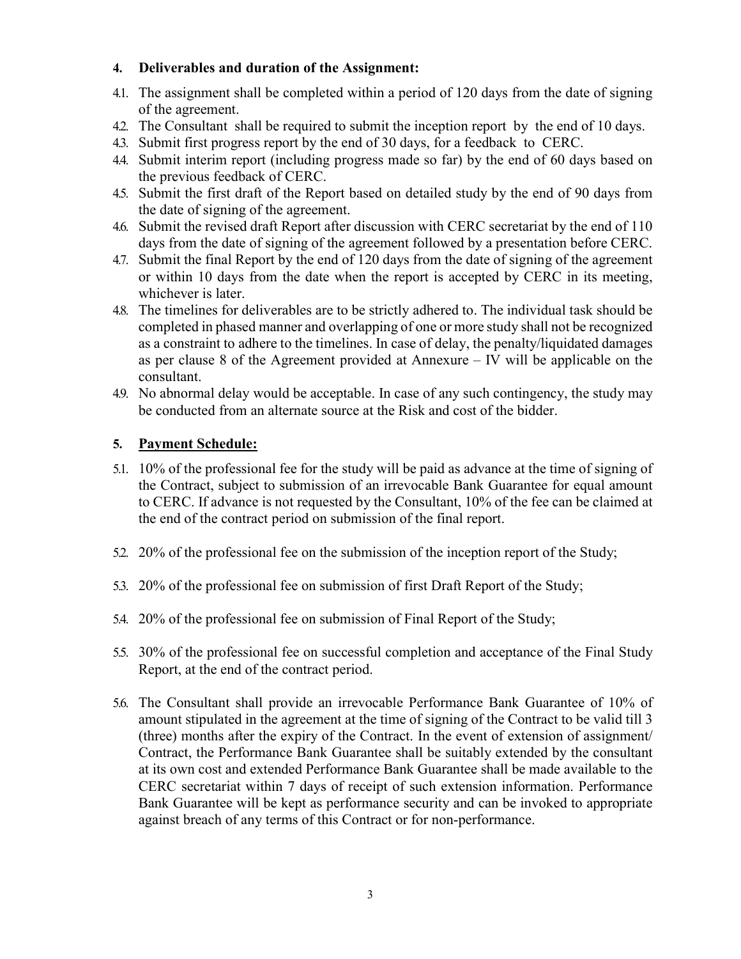## 4. Deliverables and duration of the Assignment:

- 4.1. The assignment shall be completed within a period of 120 days from the date of signing of the agreement.
- 4.2. The Consultant shall be required to submit the inception report by the end of 10 days.
- 4.3. Submit first progress report by the end of 30 days, for a feedback to CERC.
- 4.4. Submit interim report (including progress made so far) by the end of 60 days based on the previous feedback of CERC.
- 4.5. Submit the first draft of the Report based on detailed study by the end of 90 days from the date of signing of the agreement.
- 4.6. Submit the revised draft Report after discussion with CERC secretariat by the end of 110 days from the date of signing of the agreement followed by a presentation before CERC.
- 4.7. Submit the final Report by the end of 120 days from the date of signing of the agreement or within 10 days from the date when the report is accepted by CERC in its meeting, whichever is later.
- 4.8. The timelines for deliverables are to be strictly adhered to. The individual task should be completed in phased manner and overlapping of one or more study shall not be recognized as a constraint to adhere to the timelines. In case of delay, the penalty/liquidated damages as per clause 8 of the Agreement provided at Annexure – IV will be applicable on the consultant.
- 4.9. No abnormal delay would be acceptable. In case of any such contingency, the study may be conducted from an alternate source at the Risk and cost of the bidder.

# 5. Payment Schedule:

- 5.1. 10% of the professional fee for the study will be paid as advance at the time of signing of the Contract, subject to submission of an irrevocable Bank Guarantee for equal amount to CERC. If advance is not requested by the Consultant, 10% of the fee can be claimed at the end of the contract period on submission of the final report.
- 5.2. 20% of the professional fee on the submission of the inception report of the Study;
- 5.3. 20% of the professional fee on submission of first Draft Report of the Study;
- 5.4. 20% of the professional fee on submission of Final Report of the Study;
- 5.5. 30% of the professional fee on successful completion and acceptance of the Final Study Report, at the end of the contract period.
- 5.6. The Consultant shall provide an irrevocable Performance Bank Guarantee of 10% of amount stipulated in the agreement at the time of signing of the Contract to be valid till 3 (three) months after the expiry of the Contract. In the event of extension of assignment/ Contract, the Performance Bank Guarantee shall be suitably extended by the consultant at its own cost and extended Performance Bank Guarantee shall be made available to the CERC secretariat within 7 days of receipt of such extension information. Performance Bank Guarantee will be kept as performance security and can be invoked to appropriate against breach of any terms of this Contract or for non-performance.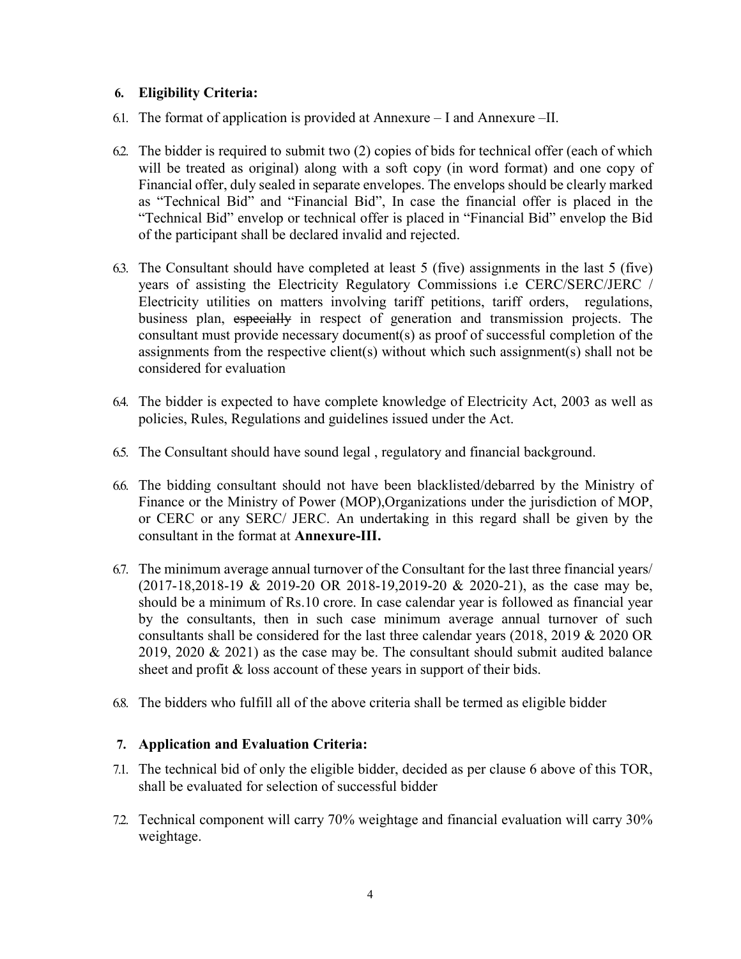## 6. Eligibility Criteria:

- 6.1. The format of application is provided at Annexure I and Annexure –II.
- 6.2. The bidder is required to submit two (2) copies of bids for technical offer (each of which will be treated as original) along with a soft copy (in word format) and one copy of Financial offer, duly sealed in separate envelopes. The envelops should be clearly marked as "Technical Bid" and "Financial Bid", In case the financial offer is placed in the "Technical Bid" envelop or technical offer is placed in "Financial Bid" envelop the Bid of the participant shall be declared invalid and rejected.
- 6.3. The Consultant should have completed at least 5 (five) assignments in the last 5 (five) years of assisting the Electricity Regulatory Commissions i.e CERC/SERC/JERC / Electricity utilities on matters involving tariff petitions, tariff orders, regulations, business plan, especially in respect of generation and transmission projects. The consultant must provide necessary document(s) as proof of successful completion of the assignments from the respective client(s) without which such assignment(s) shall not be considered for evaluation
- 6.4. The bidder is expected to have complete knowledge of Electricity Act, 2003 as well as policies, Rules, Regulations and guidelines issued under the Act.
- 6.5. The Consultant should have sound legal , regulatory and financial background.
- 6.6. The bidding consultant should not have been blacklisted/debarred by the Ministry of Finance or the Ministry of Power (MOP),Organizations under the jurisdiction of MOP, or CERC or any SERC/ JERC. An undertaking in this regard shall be given by the consultant in the format at Annexure-III.
- 6.7. The minimum average annual turnover of the Consultant for the last three financial years/ (2017-18,2018-19 & 2019-20 OR 2018-19,2019-20 & 2020-21), as the case may be, should be a minimum of Rs.10 crore. In case calendar year is followed as financial year by the consultants, then in such case minimum average annual turnover of such consultants shall be considered for the last three calendar years (2018, 2019 & 2020 OR 2019, 2020 & 2021) as the case may be. The consultant should submit audited balance sheet and profit & loss account of these years in support of their bids.
- 6.8. The bidders who fulfill all of the above criteria shall be termed as eligible bidder

# 7. Application and Evaluation Criteria:

- 7.1. The technical bid of only the eligible bidder, decided as per clause 6 above of this TOR, shall be evaluated for selection of successful bidder
- 7.2. Technical component will carry 70% weightage and financial evaluation will carry 30% weightage.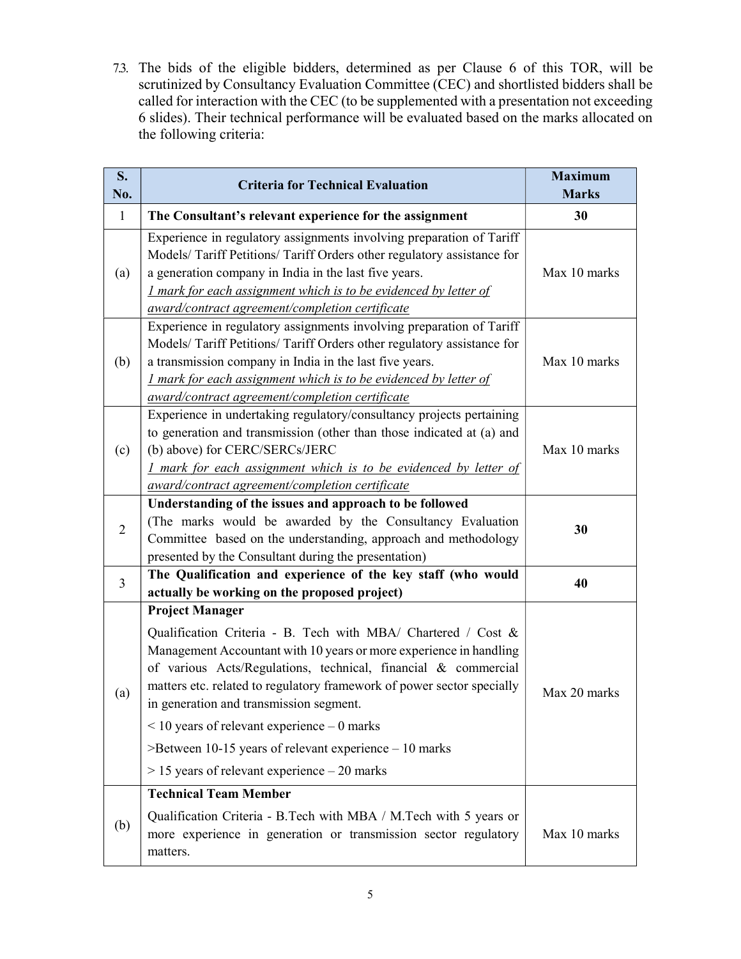7.3. The bids of the eligible bidders, determined as per Clause 6 of this TOR, will be scrutinized by Consultancy Evaluation Committee (CEC) and shortlisted bidders shall be called for interaction with the CEC (to be supplemented with a presentation not exceeding 6 slides). Their technical performance will be evaluated based on the marks allocated on the following criteria:

| $S_{\bullet}$<br>No. | <b>Criteria for Technical Evaluation</b>                                                                                                                                                                                                                                                                                                                                                                                                                                                                                                                    | <b>Maximum</b><br><b>Marks</b> |
|----------------------|-------------------------------------------------------------------------------------------------------------------------------------------------------------------------------------------------------------------------------------------------------------------------------------------------------------------------------------------------------------------------------------------------------------------------------------------------------------------------------------------------------------------------------------------------------------|--------------------------------|
| $\mathbf{1}$         | The Consultant's relevant experience for the assignment                                                                                                                                                                                                                                                                                                                                                                                                                                                                                                     | 30                             |
| (a)                  | Experience in regulatory assignments involving preparation of Tariff<br>Models/ Tariff Petitions/ Tariff Orders other regulatory assistance for<br>a generation company in India in the last five years.<br><i><u>I mark for each assignment which is to be evidenced by letter of</u></i><br>award/contract agreement/completion certificate                                                                                                                                                                                                               | Max 10 marks                   |
| (b)                  | Experience in regulatory assignments involving preparation of Tariff<br>Models/ Tariff Petitions/ Tariff Orders other regulatory assistance for<br>a transmission company in India in the last five years.<br><i><u>I mark for each assignment which is to be evidenced by letter of</u></i><br>award/contract agreement/completion certificate                                                                                                                                                                                                             | Max 10 marks                   |
| (c)                  | Experience in undertaking regulatory/consultancy projects pertaining<br>to generation and transmission (other than those indicated at (a) and<br>(b) above) for CERC/SERCs/JERC<br>I mark for each assignment which is to be evidenced by letter of<br>award/contract agreement/completion certificate                                                                                                                                                                                                                                                      | Max 10 marks                   |
| $\overline{2}$       | Understanding of the issues and approach to be followed<br>(The marks would be awarded by the Consultancy Evaluation<br>Committee based on the understanding, approach and methodology<br>presented by the Consultant during the presentation)                                                                                                                                                                                                                                                                                                              | 30                             |
| 3                    | The Qualification and experience of the key staff (who would<br>actually be working on the proposed project)                                                                                                                                                                                                                                                                                                                                                                                                                                                | 40                             |
| (a)                  | <b>Project Manager</b><br>Qualification Criteria - B. Tech with MBA/ Chartered / Cost &<br>Management Accountant with 10 years or more experience in handling<br>of various Acts/Regulations, technical, financial & commercial<br>matters etc. related to regulatory framework of power sector specially<br>in generation and transmission segment.<br>$<$ 10 years of relevant experience $-$ 0 marks<br>$\geq$ Between 10-15 years of relevant experience $-10$ marks<br>$> 15$ years of relevant experience $-20$ marks<br><b>Technical Team Member</b> | Max 20 marks                   |
| (b)                  | Qualification Criteria - B.Tech with MBA / M.Tech with 5 years or<br>more experience in generation or transmission sector regulatory<br>matters.                                                                                                                                                                                                                                                                                                                                                                                                            | Max 10 marks                   |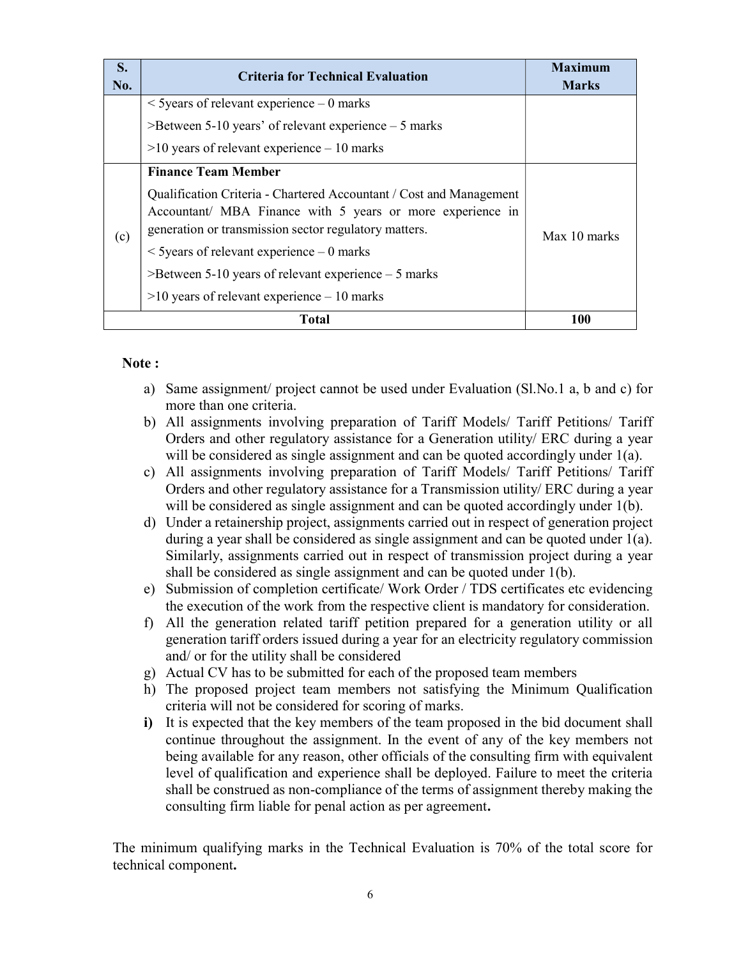| S.<br>No. | <b>Criteria for Technical Evaluation</b>                                                                                                                                                   | <b>Maximum</b><br><b>Marks</b> |
|-----------|--------------------------------------------------------------------------------------------------------------------------------------------------------------------------------------------|--------------------------------|
|           | $\le$ 5 years of relevant experience – 0 marks                                                                                                                                             |                                |
|           | $\geq$ Between 5-10 years' of relevant experience – 5 marks                                                                                                                                |                                |
|           | $>10$ years of relevant experience $-10$ marks                                                                                                                                             |                                |
|           | <b>Finance Team Member</b>                                                                                                                                                                 |                                |
| (c)       | Qualification Criteria - Chartered Accountant / Cost and Management<br>Accountant/ MBA Finance with 5 years or more experience in<br>generation or transmission sector regulatory matters. | Max 10 marks                   |
|           | $\le$ 5 years of relevant experience – 0 marks                                                                                                                                             |                                |
|           | $\geq$ Between 5-10 years of relevant experience $-5$ marks                                                                                                                                |                                |
|           | $>10$ years of relevant experience $-10$ marks                                                                                                                                             |                                |
|           | Total                                                                                                                                                                                      | 100                            |

#### Note :

- a) Same assignment/ project cannot be used under Evaluation (Sl.No.1 a, b and c) for more than one criteria.
- b) All assignments involving preparation of Tariff Models/ Tariff Petitions/ Tariff Orders and other regulatory assistance for a Generation utility/ ERC during a year will be considered as single assignment and can be quoted accordingly under 1(a).
- c) All assignments involving preparation of Tariff Models/ Tariff Petitions/ Tariff Orders and other regulatory assistance for a Transmission utility/ ERC during a year will be considered as single assignment and can be quoted accordingly under 1(b).
- d) Under a retainership project, assignments carried out in respect of generation project during a year shall be considered as single assignment and can be quoted under 1(a). Similarly, assignments carried out in respect of transmission project during a year shall be considered as single assignment and can be quoted under 1(b).
- e) Submission of completion certificate/ Work Order / TDS certificates etc evidencing the execution of the work from the respective client is mandatory for consideration.
- f) All the generation related tariff petition prepared for a generation utility or all generation tariff orders issued during a year for an electricity regulatory commission and/ or for the utility shall be considered
- g) Actual CV has to be submitted for each of the proposed team members
- h) The proposed project team members not satisfying the Minimum Qualification criteria will not be considered for scoring of marks.
- i) It is expected that the key members of the team proposed in the bid document shall continue throughout the assignment. In the event of any of the key members not being available for any reason, other officials of the consulting firm with equivalent level of qualification and experience shall be deployed. Failure to meet the criteria shall be construed as non-compliance of the terms of assignment thereby making the consulting firm liable for penal action as per agreement.

The minimum qualifying marks in the Technical Evaluation is 70% of the total score for technical component.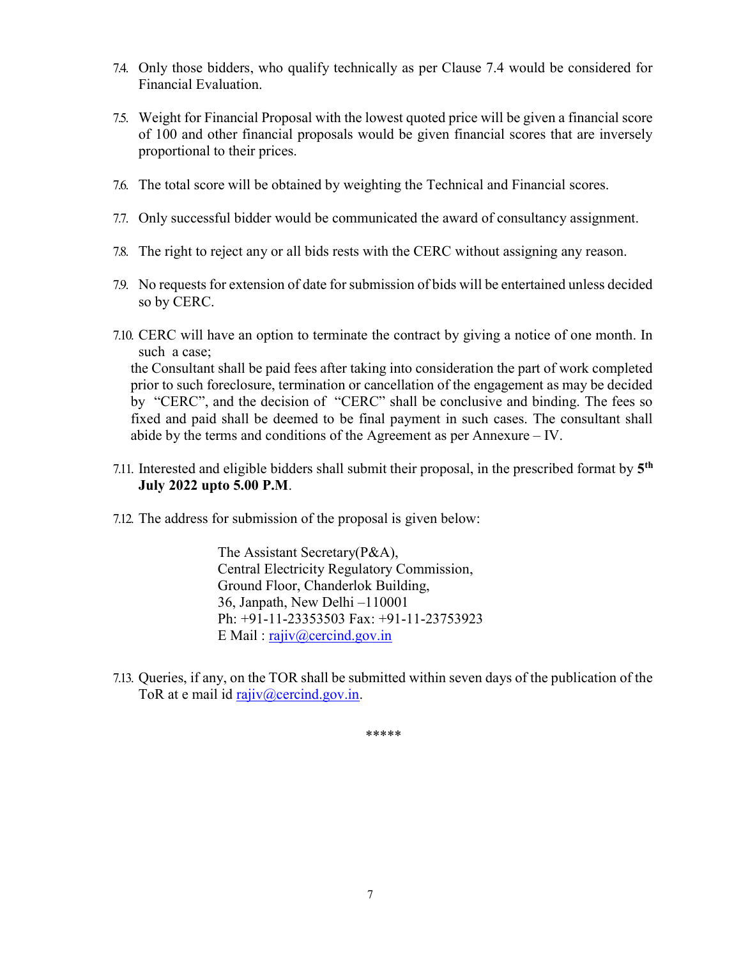- 7.4. Only those bidders, who qualify technically as per Clause 7.4 would be considered for Financial Evaluation.
- 7.5. Weight for Financial Proposal with the lowest quoted price will be given a financial score of 100 and other financial proposals would be given financial scores that are inversely proportional to their prices.
- 7.6. The total score will be obtained by weighting the Technical and Financial scores.
- 7.7. Only successful bidder would be communicated the award of consultancy assignment.
- 7.8. The right to reject any or all bids rests with the CERC without assigning any reason.
- 7.9. No requests for extension of date for submission of bids will be entertained unless decided so by CERC.
- 7.10. CERC will have an option to terminate the contract by giving a notice of one month. In such a case; the Consultant shall be paid fees after taking into consideration the part of work completed prior to such foreclosure, termination or cancellation of the engagement as may be decided by "CERC", and the decision of "CERC" shall be conclusive and binding. The fees so fixed and paid shall be deemed to be final payment in such cases. The consultant shall abide by the terms and conditions of the Agreement as per Annexure – IV.
- 7.11. Interested and eligible bidders shall submit their proposal, in the prescribed format by  $5<sup>th</sup>$ July 2022 upto 5.00 P.M.
- 7.12. The address for submission of the proposal is given below:

The Assistant Secretary(P&A), Central Electricity Regulatory Commission, Ground Floor, Chanderlok Building, 36, Janpath, New Delhi –110001 Ph: +91-11-23353503 Fax: +91-11-23753923 E Mail: rajiv@cercind.gov.in

7.13. Queries, if any, on the TOR shall be submitted within seven days of the publication of the ToR at e mail id  $\text{rajiv}(\hat{a})$  cercind.gov.in.

\*\*\*\*\*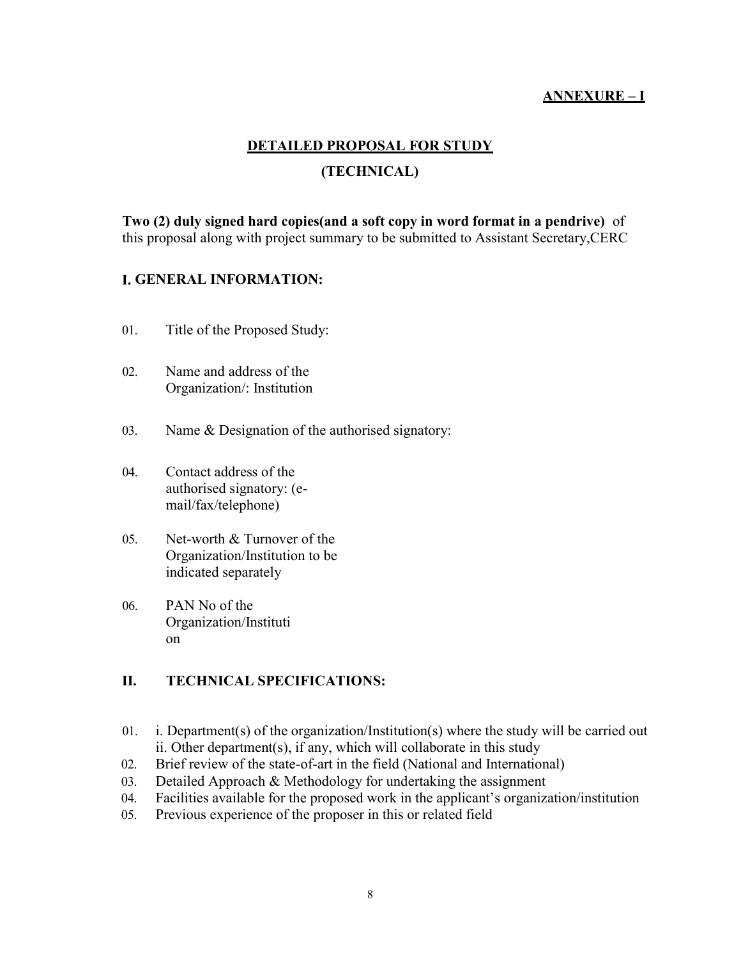## ANNEXURE – I

# DETAILED PROPOSAL FOR STUDY (TECHNICAL)

Two (2) duly signed hard copies(and a soft copy in word format in a pendrive) of this proposal along with project summary to be submitted to Assistant Secretary,CERC

## I. GENERAL INFORMATION:

- 01. Title of the Proposed Study:
- 02. Name and address of the Organization/: Institution
- 03. Name & Designation of the authorised signatory:
- 04. Contact address of the authorised signatory: (email/fax/telephone)
- 05. Net-worth & Turnover of the Organization/Institution to be indicated separately
- 06. PAN No of the Organization/Instituti on

# II. TECHNICAL SPECIFICATIONS:

- 01. i. Department(s) of the organization/Institution(s) where the study will be carried out ii. Other department(s), if any, which will collaborate in this study
- 02. Brief review of the state-of-art in the field (National and International)
- 03. Detailed Approach & Methodology for undertaking the assignment
- 04. Facilities available for the proposed work in the applicant's organization/institution
- 05. Previous experience of the proposer in this or related field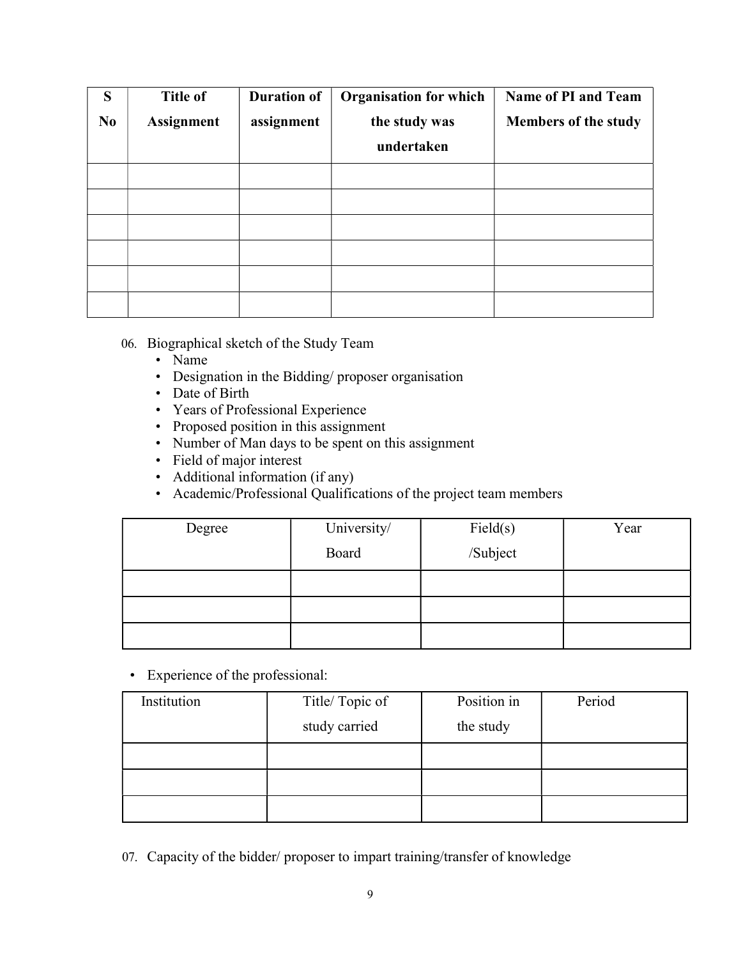| S              | <b>Title of</b>   | <b>Duration of</b> | <b>Organisation for which</b> | Name of PI and Team         |
|----------------|-------------------|--------------------|-------------------------------|-----------------------------|
| N <sub>0</sub> | <b>Assignment</b> | assignment         | the study was                 | <b>Members of the study</b> |
|                |                   |                    | undertaken                    |                             |
|                |                   |                    |                               |                             |
|                |                   |                    |                               |                             |
|                |                   |                    |                               |                             |
|                |                   |                    |                               |                             |
|                |                   |                    |                               |                             |
|                |                   |                    |                               |                             |

- 06. Biographical sketch of the Study Team
	- Name
	- Designation in the Bidding/ proposer organisation
	- Date of Birth
	- Years of Professional Experience
	- Proposed position in this assignment
	- Number of Man days to be spent on this assignment
	- Field of major interest
	- Additional information (if any)
	- Academic/Professional Qualifications of the project team members

| Degree | University/ | Field(s) | Year |
|--------|-------------|----------|------|
|        | Board       | /Subject |      |
|        |             |          |      |
|        |             |          |      |
|        |             |          |      |

• Experience of the professional:

| Institution | Title/Topic of | Position in | Period |
|-------------|----------------|-------------|--------|
|             | study carried  | the study   |        |
|             |                |             |        |
|             |                |             |        |
|             |                |             |        |

07. Capacity of the bidder/ proposer to impart training/transfer of knowledge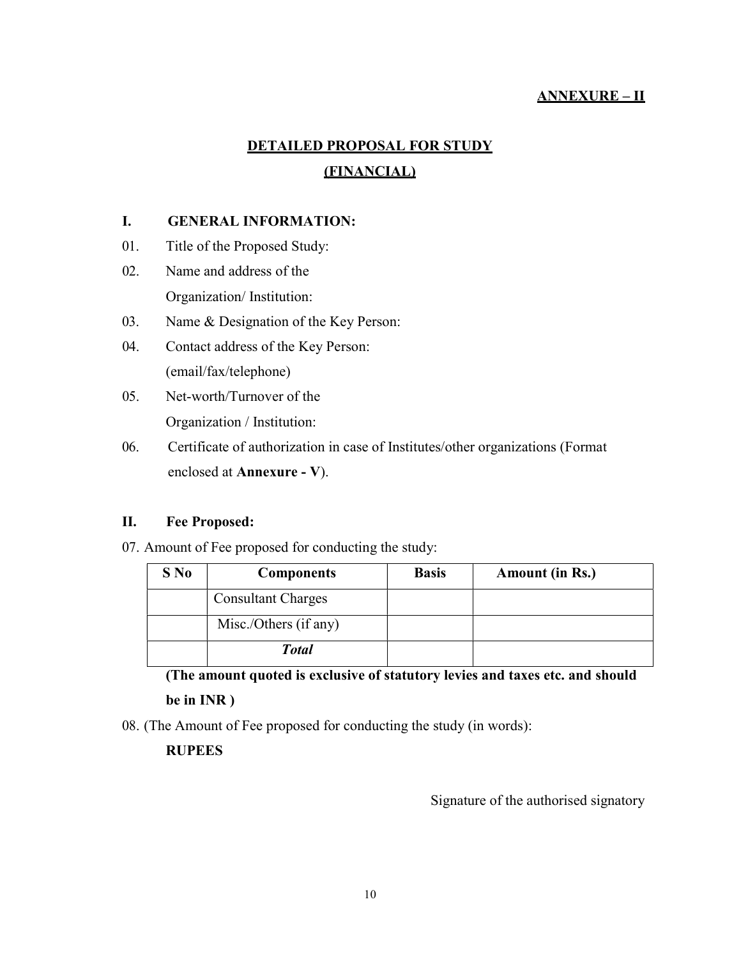# ANNEXURE – II

# DETAILED PROPOSAL FOR STUDY (FINANCIAL)

## I. GENERAL INFORMATION:

- 01. Title of the Proposed Study:
- 02. Name and address of the Organization/ Institution:
- 03. Name & Designation of the Key Person:
- 04. Contact address of the Key Person: (email/fax/telephone)
- 05. Net-worth/Turnover of the Organization / Institution:
- 06. Certificate of authorization in case of Institutes/other organizations (Format enclosed at Annexure - V).

#### II. Fee Proposed:

07. Amount of Fee proposed for conducting the study:

| S No | <b>Components</b>         | <b>Basis</b> | <b>Amount (in Rs.)</b> |
|------|---------------------------|--------------|------------------------|
|      | <b>Consultant Charges</b> |              |                        |
|      | Misc./Others (if any)     |              |                        |
|      | <b>Total</b>              |              |                        |

(The amount quoted is exclusive of statutory levies and taxes etc. and should be in INR )

08. (The Amount of Fee proposed for conducting the study (in words):

# **RUPEES**

Signature of the authorised signatory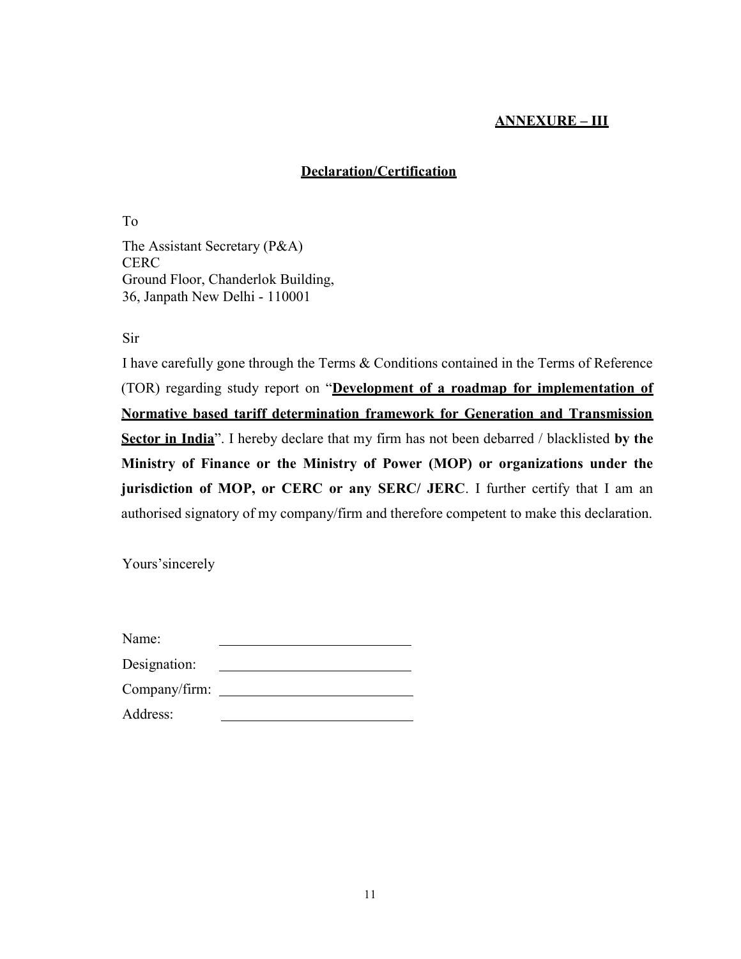# ANNEXURE – III

# Declaration/Certification

To The Assistant Secretary (P&A) **CERC** Ground Floor, Chanderlok Building, 36, Janpath New Delhi - 110001

Sir

I have carefully gone through the Terms & Conditions contained in the Terms of Reference (TOR) regarding study report on "Development of a roadmap for implementation of Normative based tariff determination framework for Generation and Transmission Sector in India". I hereby declare that my firm has not been debarred / blacklisted by the Ministry of Finance or the Ministry of Power (MOP) or organizations under the jurisdiction of MOP, or CERC or any SERC/ JERC. I further certify that I am an authorised signatory of my company/firm and therefore competent to make this declaration.

Yours'sincerely

| Name:         |  |
|---------------|--|
| Designation:  |  |
| Company/firm: |  |

| Address: |  |
|----------|--|
|          |  |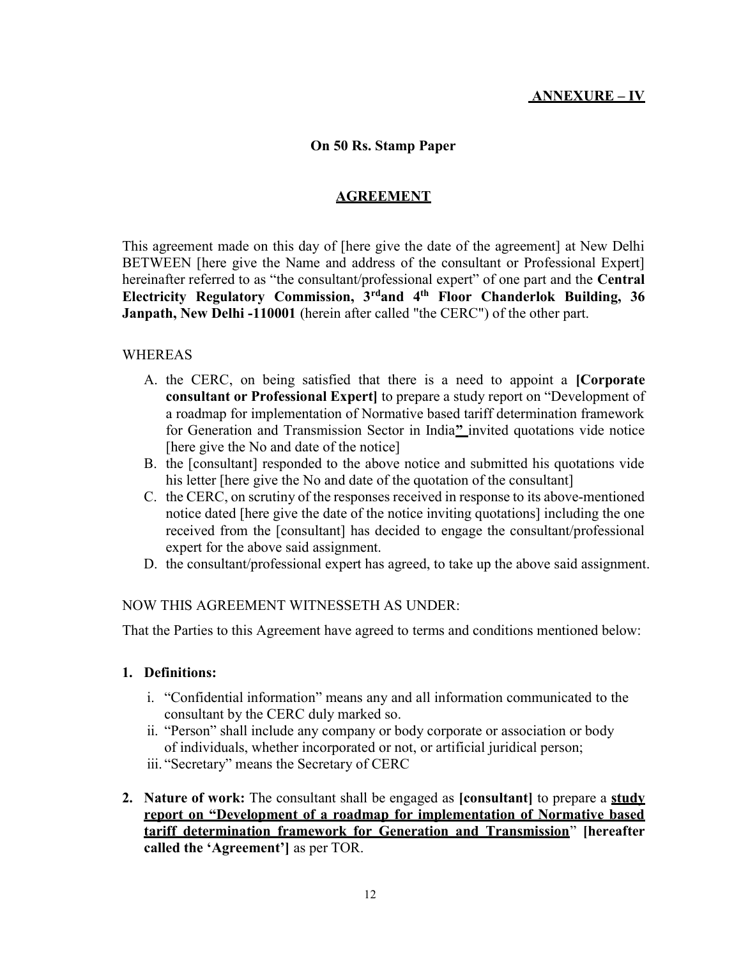## ANNEXURE – IV

#### On 50 Rs. Stamp Paper

#### AGREEMENT

This agreement made on this day of [here give the date of the agreement] at New Delhi BETWEEN [here give the Name and address of the consultant or Professional Expert] hereinafter referred to as "the consultant/professional expert" of one part and the Central Electricity Regulatory Commission, 3rdand 4th Floor Chanderlok Building, 36 Janpath, New Delhi -110001 (herein after called "the CERC") of the other part.

#### WHEREAS

- A. the CERC, on being satisfied that there is a need to appoint a [Corporate consultant or Professional Expert] to prepare a study report on "Development of a roadmap for implementation of Normative based tariff determination framework for Generation and Transmission Sector in India" invited quotations vide notice [here give the No and date of the notice]
- B. the [consultant] responded to the above notice and submitted his quotations vide his letter [here give the No and date of the quotation of the consultant]
- C. the CERC, on scrutiny of the responses received in response to its above-mentioned notice dated [here give the date of the notice inviting quotations] including the one received from the [consultant] has decided to engage the consultant/professional expert for the above said assignment.
- D. the consultant/professional expert has agreed, to take up the above said assignment.

#### NOW THIS AGREEMENT WITNESSETH AS UNDER:

That the Parties to this Agreement have agreed to terms and conditions mentioned below:

#### 1. Definitions:

- i. "Confidential information" means any and all information communicated to the consultant by the CERC duly marked so.
- ii. "Person" shall include any company or body corporate or association or body of individuals, whether incorporated or not, or artificial juridical person;
- iii. "Secretary" means the Secretary of CERC
- 2. Nature of work: The consultant shall be engaged as [consultant] to prepare a study report on "Development of a roadmap for implementation of Normative based tariff determination framework for Generation and Transmission" [hereafter called the 'Agreement'] as per TOR.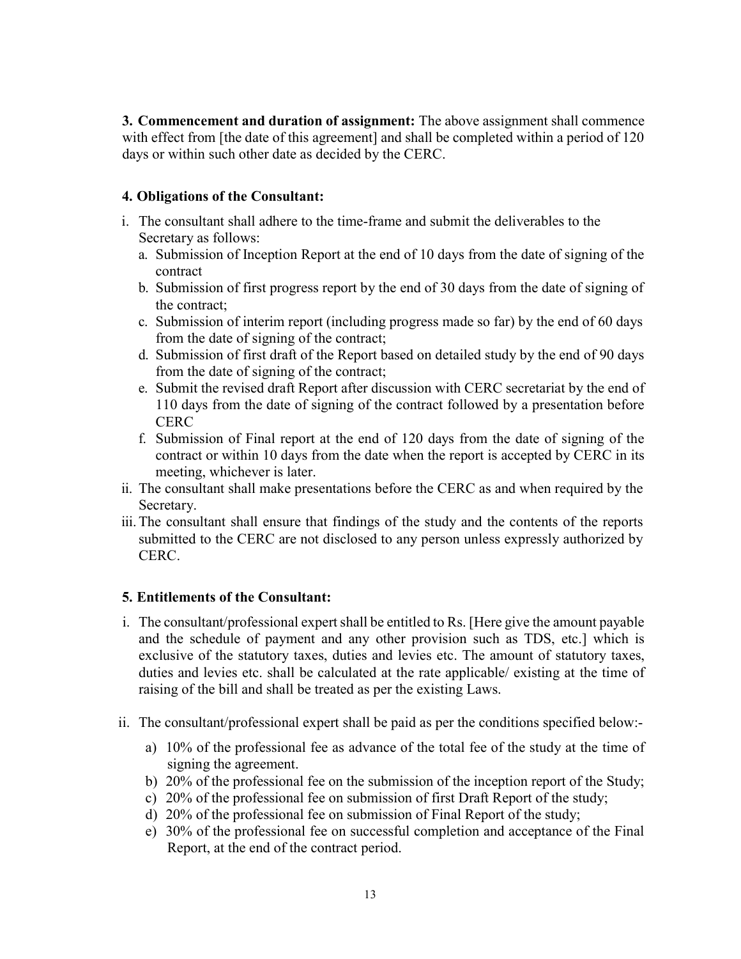3. Commencement and duration of assignment: The above assignment shall commence with effect from [the date of this agreement] and shall be completed within a period of 120 days or within such other date as decided by the CERC.

# 4. Obligations of the Consultant:

- i. The consultant shall adhere to the time-frame and submit the deliverables to the Secretary as follows:
	- a. Submission of Inception Report at the end of 10 days from the date of signing of the contract
	- b. Submission of first progress report by the end of 30 days from the date of signing of the contract;
	- c. Submission of interim report (including progress made so far) by the end of 60 days from the date of signing of the contract;
	- d. Submission of first draft of the Report based on detailed study by the end of 90 days from the date of signing of the contract;
	- e. Submit the revised draft Report after discussion with CERC secretariat by the end of 110 days from the date of signing of the contract followed by a presentation before **CERC**
	- f. Submission of Final report at the end of 120 days from the date of signing of the contract or within 10 days from the date when the report is accepted by CERC in its meeting, whichever is later.
- ii. The consultant shall make presentations before the CERC as and when required by the Secretary.
- iii.The consultant shall ensure that findings of the study and the contents of the reports submitted to the CERC are not disclosed to any person unless expressly authorized by CERC.

# 5. Entitlements of the Consultant:

- i. The consultant/professional expert shall be entitled to Rs. [Here give the amount payable and the schedule of payment and any other provision such as TDS, etc.] which is exclusive of the statutory taxes, duties and levies etc. The amount of statutory taxes, duties and levies etc. shall be calculated at the rate applicable/ existing at the time of raising of the bill and shall be treated as per the existing Laws.
- ii. The consultant/professional expert shall be paid as per the conditions specified below:
	- a) 10% of the professional fee as advance of the total fee of the study at the time of signing the agreement.
	- b) 20% of the professional fee on the submission of the inception report of the Study;
	- c) 20% of the professional fee on submission of first Draft Report of the study;
	- d) 20% of the professional fee on submission of Final Report of the study;
	- e) 30% of the professional fee on successful completion and acceptance of the Final Report, at the end of the contract period.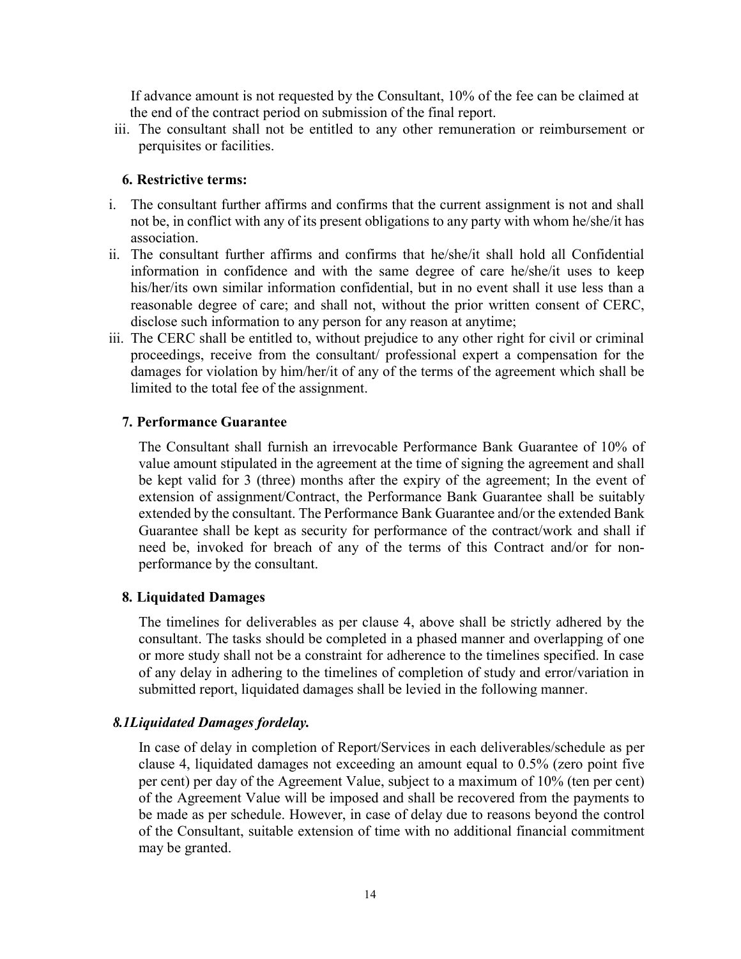If advance amount is not requested by the Consultant, 10% of the fee can be claimed at the end of the contract period on submission of the final report.

iii. The consultant shall not be entitled to any other remuneration or reimbursement or perquisites or facilities.

#### 6. Restrictive terms:

- i. The consultant further affirms and confirms that the current assignment is not and shall not be, in conflict with any of its present obligations to any party with whom he/she/it has association.
- ii. The consultant further affirms and confirms that he/she/it shall hold all Confidential information in confidence and with the same degree of care he/she/it uses to keep his/her/its own similar information confidential, but in no event shall it use less than a reasonable degree of care; and shall not, without the prior written consent of CERC, disclose such information to any person for any reason at anytime;
- iii. The CERC shall be entitled to, without prejudice to any other right for civil or criminal proceedings, receive from the consultant/ professional expert a compensation for the damages for violation by him/her/it of any of the terms of the agreement which shall be limited to the total fee of the assignment.

#### 7. Performance Guarantee

The Consultant shall furnish an irrevocable Performance Bank Guarantee of 10% of value amount stipulated in the agreement at the time of signing the agreement and shall be kept valid for 3 (three) months after the expiry of the agreement; In the event of extension of assignment/Contract, the Performance Bank Guarantee shall be suitably extended by the consultant. The Performance Bank Guarantee and/or the extended Bank Guarantee shall be kept as security for performance of the contract/work and shall if need be, invoked for breach of any of the terms of this Contract and/or for nonperformance by the consultant.

#### 8. Liquidated Damages

The timelines for deliverables as per clause 4, above shall be strictly adhered by the consultant. The tasks should be completed in a phased manner and overlapping of one or more study shall not be a constraint for adherence to the timelines specified. In case of any delay in adhering to the timelines of completion of study and error/variation in submitted report, liquidated damages shall be levied in the following manner.

#### 8.1Liquidated Damages fordelay.

In case of delay in completion of Report/Services in each deliverables/schedule as per clause 4, liquidated damages not exceeding an amount equal to 0.5% (zero point five per cent) per day of the Agreement Value, subject to a maximum of 10% (ten per cent) of the Agreement Value will be imposed and shall be recovered from the payments to be made as per schedule. However, in case of delay due to reasons beyond the control of the Consultant, suitable extension of time with no additional financial commitment may be granted.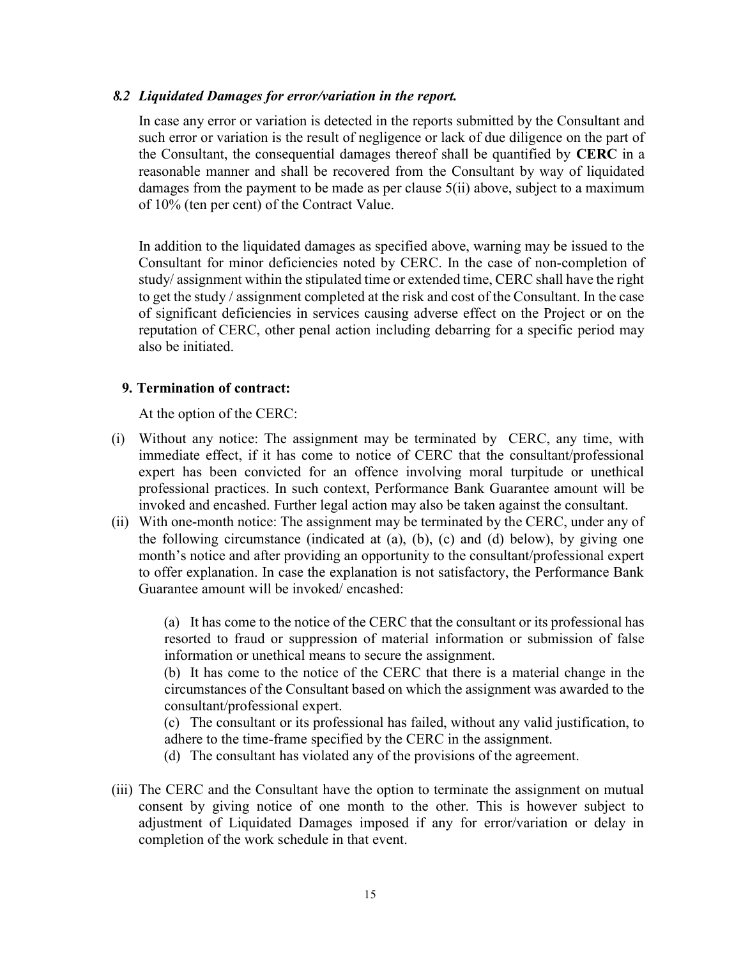#### 8.2 Liquidated Damages for error/variation in the report.

In case any error or variation is detected in the reports submitted by the Consultant and such error or variation is the result of negligence or lack of due diligence on the part of the Consultant, the consequential damages thereof shall be quantified by CERC in a reasonable manner and shall be recovered from the Consultant by way of liquidated damages from the payment to be made as per clause 5(ii) above, subject to a maximum of 10% (ten per cent) of the Contract Value.

In addition to the liquidated damages as specified above, warning may be issued to the Consultant for minor deficiencies noted by CERC. In the case of non-completion of study/ assignment within the stipulated time or extended time, CERC shall have the right to get the study / assignment completed at the risk and cost of the Consultant. In the case of significant deficiencies in services causing adverse effect on the Project or on the reputation of CERC, other penal action including debarring for a specific period may also be initiated.

#### 9. Termination of contract:

At the option of the CERC:

- (i) Without any notice: The assignment may be terminated by CERC, any time, with immediate effect, if it has come to notice of CERC that the consultant/professional expert has been convicted for an offence involving moral turpitude or unethical professional practices. In such context, Performance Bank Guarantee amount will be invoked and encashed. Further legal action may also be taken against the consultant.
- (ii) With one-month notice: The assignment may be terminated by the CERC, under any of the following circumstance (indicated at (a), (b), (c) and (d) below), by giving one month's notice and after providing an opportunity to the consultant/professional expert to offer explanation. In case the explanation is not satisfactory, the Performance Bank Guarantee amount will be invoked/ encashed:

(a) It has come to the notice of the CERC that the consultant or its professional has resorted to fraud or suppression of material information or submission of false information or unethical means to secure the assignment.

(b) It has come to the notice of the CERC that there is a material change in the circumstances of the Consultant based on which the assignment was awarded to the consultant/professional expert.

(c) The consultant or its professional has failed, without any valid justification, to adhere to the time-frame specified by the CERC in the assignment.

- (d) The consultant has violated any of the provisions of the agreement.
- (iii) The CERC and the Consultant have the option to terminate the assignment on mutual consent by giving notice of one month to the other. This is however subject to adjustment of Liquidated Damages imposed if any for error/variation or delay in completion of the work schedule in that event.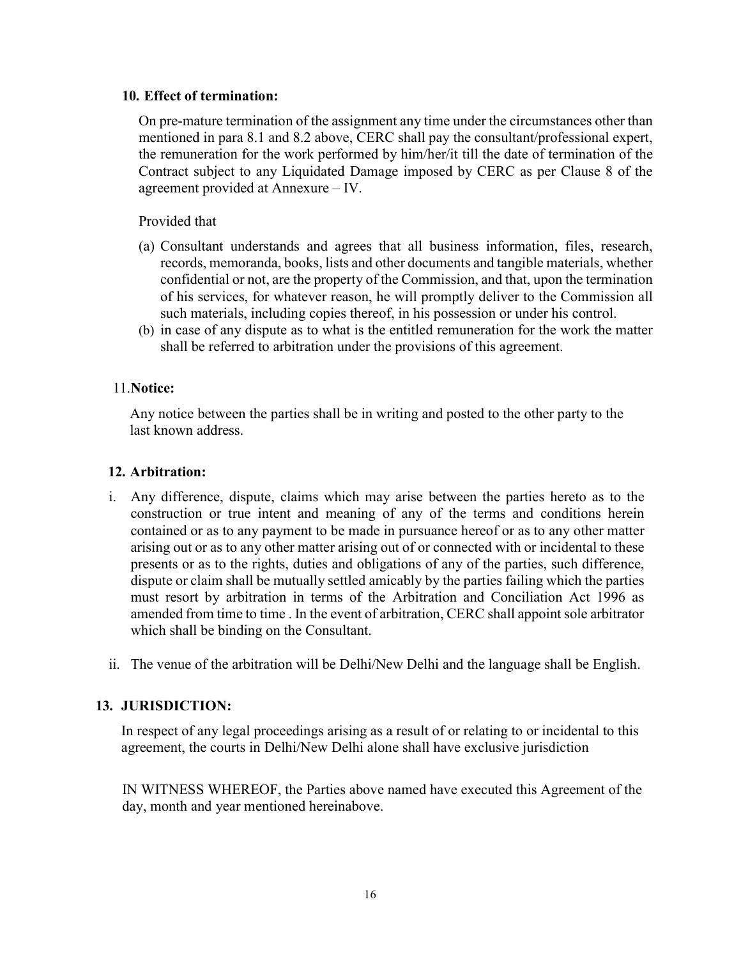#### 10. Effect of termination:

On pre-mature termination of the assignment any time under the circumstances other than mentioned in para 8.1 and 8.2 above, CERC shall pay the consultant/professional expert, the remuneration for the work performed by him/her/it till the date of termination of the Contract subject to any Liquidated Damage imposed by CERC as per Clause 8 of the agreement provided at Annexure – IV.

Provided that

- (a) Consultant understands and agrees that all business information, files, research, records, memoranda, books, lists and other documents and tangible materials, whether confidential or not, are the property of the Commission, and that, upon the termination of his services, for whatever reason, he will promptly deliver to the Commission all such materials, including copies thereof, in his possession or under his control.
- (b) in case of any dispute as to what is the entitled remuneration for the work the matter shall be referred to arbitration under the provisions of this agreement.

## 11.Notice:

Any notice between the parties shall be in writing and posted to the other party to the last known address.

## 12. Arbitration:

- i. Any difference, dispute, claims which may arise between the parties hereto as to the construction or true intent and meaning of any of the terms and conditions herein contained or as to any payment to be made in pursuance hereof or as to any other matter arising out or as to any other matter arising out of or connected with or incidental to these presents or as to the rights, duties and obligations of any of the parties, such difference, dispute or claim shall be mutually settled amicably by the parties failing which the parties must resort by arbitration in terms of the Arbitration and Conciliation Act 1996 as amended from time to time . In the event of arbitration, CERC shall appoint sole arbitrator which shall be binding on the Consultant.
- ii. The venue of the arbitration will be Delhi/New Delhi and the language shall be English.

# 13. JURISDICTION:

In respect of any legal proceedings arising as a result of or relating to or incidental to this agreement, the courts in Delhi/New Delhi alone shall have exclusive jurisdiction

IN WITNESS WHEREOF, the Parties above named have executed this Agreement of the day, month and year mentioned hereinabove.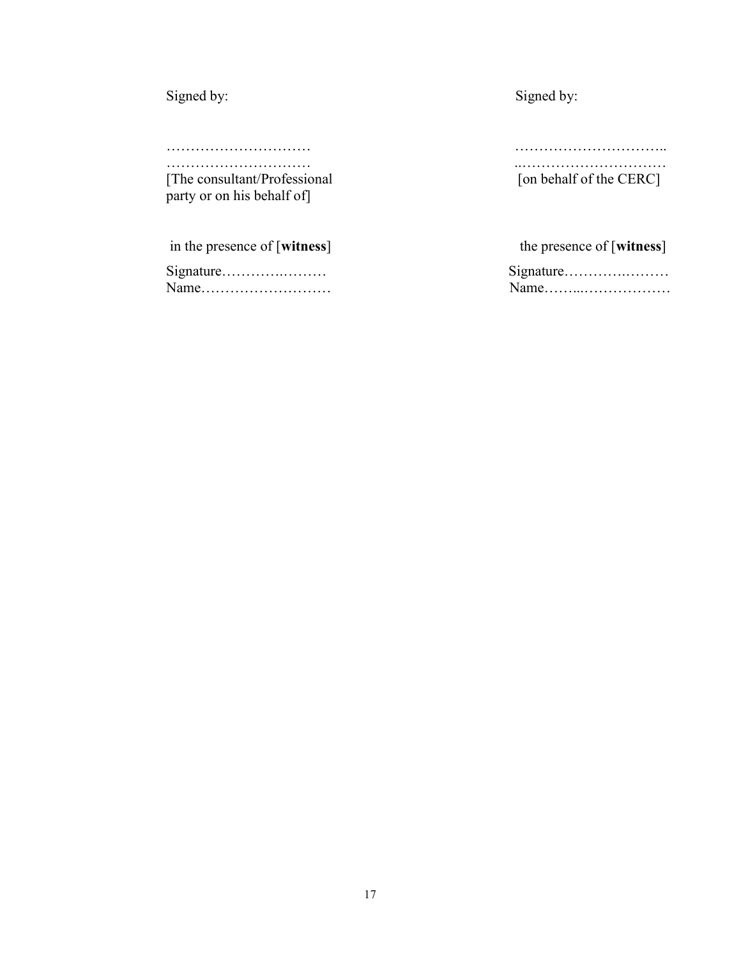| Signed by:                    | Signed by:                |
|-------------------------------|---------------------------|
|                               |                           |
|                               |                           |
|                               |                           |
| [The consultant/Professional] | [on behalf of the CERC]   |
| party or on his behalf of     |                           |
|                               |                           |
| in the presence of [witness]  | the presence of [witness] |
| Signature                     | Signature                 |
| Name                          | Name                      |
|                               |                           |